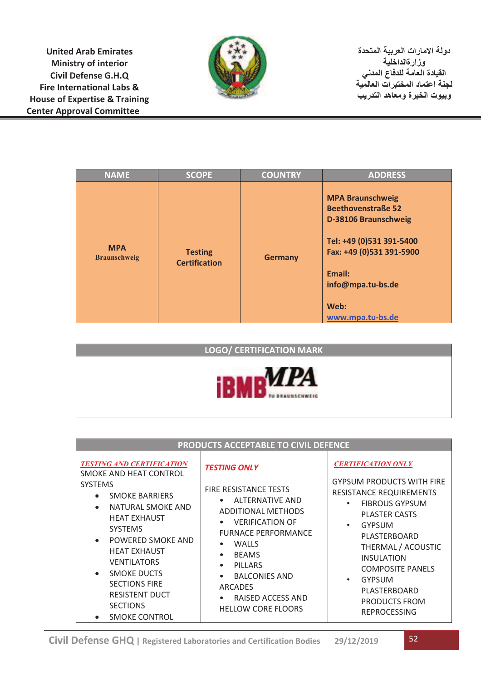**United Arab Emirates Ministry of interior Civil Defense G.H.Q Fire International Labs & House of Expertise & Training Center Approval Committee**



**دولة الامارات العربیة المتحدة وزارةالداخلیة القیادة العامة للدفاع المدني لجنة اعتماد المختبرات العالمیة وبیوت الخبرة ومعاھد التدریب**

| <b>NAME</b>                       | <b>SCOPE</b>                           | <b>COUNTRY</b> | <b>ADDRESS</b>                                                                                                                                                                                  |
|-----------------------------------|----------------------------------------|----------------|-------------------------------------------------------------------------------------------------------------------------------------------------------------------------------------------------|
| <b>MPA</b><br><b>Braunschweig</b> | <b>Testing</b><br><b>Certification</b> | <b>Germany</b> | <b>MPA Braunschweig</b><br><b>Beethovenstraße 52</b><br>D-38106 Braunschweig<br>Tel: +49 (0)531 391-5400<br>Fax: +49 (0)531 391-5900<br>Email:<br>info@mpa.tu-bs.de<br>Web:<br>www.mpa.tu-bs.de |



| PRODUCTS ACCEPTABLE TO CIVIL DEFENCE                                                                                                                                                                                                                                                                                                                                                                                     |                                                                                                                                                                                                                                                                                                                                                                                                      |                                                                                                                                                                                                                                                                                                                                                                                |  |  |  |  |  |
|--------------------------------------------------------------------------------------------------------------------------------------------------------------------------------------------------------------------------------------------------------------------------------------------------------------------------------------------------------------------------------------------------------------------------|------------------------------------------------------------------------------------------------------------------------------------------------------------------------------------------------------------------------------------------------------------------------------------------------------------------------------------------------------------------------------------------------------|--------------------------------------------------------------------------------------------------------------------------------------------------------------------------------------------------------------------------------------------------------------------------------------------------------------------------------------------------------------------------------|--|--|--|--|--|
| <b>TESTING AND CERTIFICATION</b><br>SMOKE AND HEAT CONTROL<br><b>SYSTEMS</b><br><b>SMOKE BARRIERS</b><br>$\bullet$<br>NATURAL SMOKE AND<br>$\bullet$<br><b>HEAT EXHAUST</b><br><b>SYSTEMS</b><br>POWERED SMOKE AND<br>$\bullet$<br><b>HEAT EXHAUST</b><br><b>VENTILATORS</b><br><b>SMOKE DUCTS</b><br>$\bullet$<br><b>SECTIONS FIRE</b><br><b>RESISTENT DUCT</b><br><b>SECTIONS</b><br><b>SMOKE CONTROL</b><br>$\bullet$ | <b>TESTING ONLY</b><br><b>FIRE RESISTANCE TESTS</b><br><b>ALTERNATIVE AND</b><br>$\bullet$<br><b>ADDITIONAL METHODS</b><br><b>VERIFICATION OF</b><br>$\bullet$<br><b>FURNACE PERFORMANCE</b><br><b>WALLS</b><br>$\bullet$<br><b>BEAMS</b><br>$\bullet$<br><b>PILLARS</b><br>$\bullet$<br><b>BALCONIES AND</b><br>$\bullet$<br>ARCADES<br>RAISED ACCESS AND<br>$\bullet$<br><b>HELLOW CORE FLOORS</b> | <b>CERTIFICATION ONLY</b><br><b>GYPSUM PRODUCTS WITH FIRE</b><br><b>RESISTANCE REQUIREMENTS</b><br><b>FIBROUS GYPSUM</b><br>$\bullet$<br><b>PLASTER CASTS</b><br><b>GYPSUM</b><br>$\bullet$<br>PLASTERBOARD<br>THERMAL / ACOUSTIC<br><b>INSULATION</b><br><b>COMPOSITE PANELS</b><br><b>GYPSUM</b><br>$\bullet$<br>PLASTERBOARD<br><b>PRODUCTS FROM</b><br><b>REPROCESSING</b> |  |  |  |  |  |